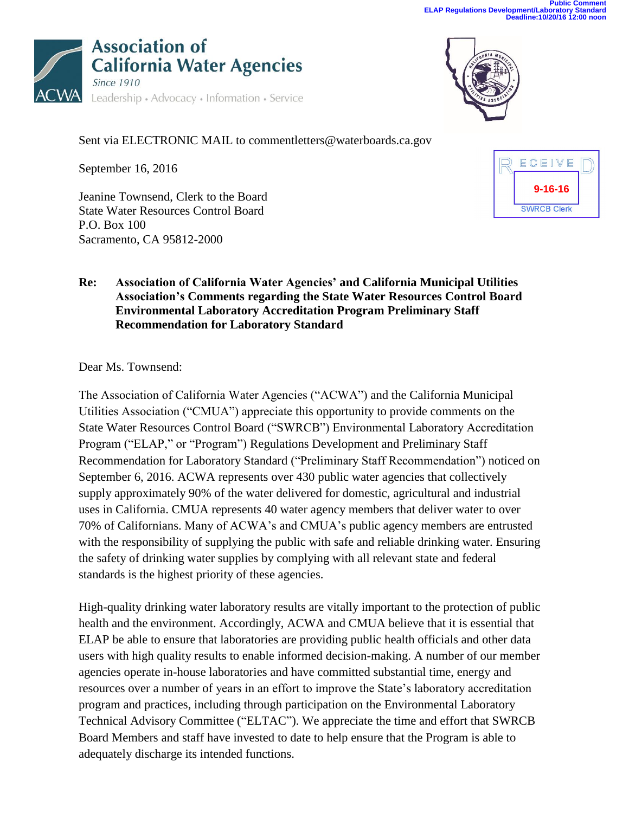



Sent via ELECTRONIC MAIL to commentletters@waterboards.ca.gov

September 16, 2016

Jeanine Townsend, Clerk to the Board State Water Resources Control Board P.O. Box 100 Sacramento, CA 95812-2000



## **Re: Association of California Water Agencies' and California Municipal Utilities Association's Comments regarding the State Water Resources Control Board Environmental Laboratory Accreditation Program Preliminary Staff Recommendation for Laboratory Standard**

Dear Ms. Townsend:

The Association of California Water Agencies ("ACWA") and the California Municipal Utilities Association ("CMUA") appreciate this opportunity to provide comments on the State Water Resources Control Board ("SWRCB") Environmental Laboratory Accreditation Program ("ELAP," or "Program") Regulations Development and Preliminary Staff Recommendation for Laboratory Standard ("Preliminary Staff Recommendation") noticed on September 6, 2016. ACWA represents over 430 public water agencies that collectively supply approximately 90% of the water delivered for domestic, agricultural and industrial uses in California. CMUA represents 40 water agency members that deliver water to over 70% of Californians. Many of ACWA's and CMUA's public agency members are entrusted with the responsibility of supplying the public with safe and reliable drinking water. Ensuring the safety of drinking water supplies by complying with all relevant state and federal standards is the highest priority of these agencies.

High-quality drinking water laboratory results are vitally important to the protection of public health and the environment. Accordingly, ACWA and CMUA believe that it is essential that ELAP be able to ensure that laboratories are providing public health officials and other data users with high quality results to enable informed decision-making. A number of our member agencies operate in-house laboratories and have committed substantial time, energy and resources over a number of years in an effort to improve the State's laboratory accreditation program and practices, including through participation on the Environmental Laboratory Technical Advisory Committee ("ELTAC"). We appreciate the time and effort that SWRCB Board Members and staff have invested to date to help ensure that the Program is able to adequately discharge its intended functions.